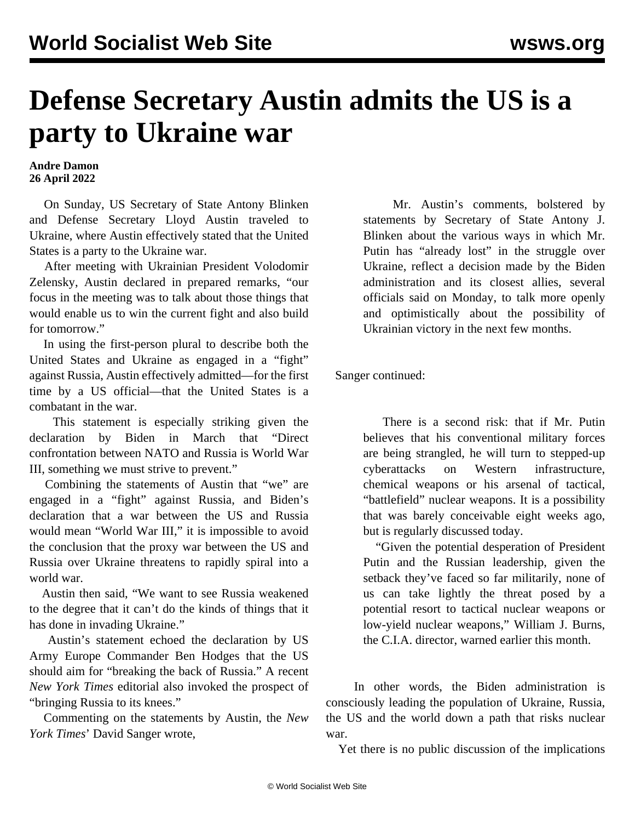## **Defense Secretary Austin admits the US is a party to Ukraine war**

## **Andre Damon 26 April 2022**

 On Sunday, US Secretary of State Antony Blinken and Defense Secretary Lloyd Austin traveled to Ukraine, where Austin effectively stated that the United States is a party to the Ukraine war.

 After meeting with Ukrainian President Volodomir Zelensky, Austin declared in prepared remarks, "our focus in the meeting was to talk about those things that would enable us to win the current fight and also build for tomorrow."

 In using the first-person plural to describe both the United States and Ukraine as engaged in a "fight" against Russia, Austin effectively admitted—for the first time by a US official—that the United States is a combatant in the war.

 This statement is especially striking given the declaration by Biden in March that "Direct confrontation between NATO and Russia is World War III, something we must strive to prevent."

 Combining the statements of Austin that "we" are engaged in a "fight" against Russia, and Biden's declaration that a war between the US and Russia would mean "World War III," it is impossible to avoid the conclusion that the proxy war between the US and Russia over Ukraine threatens to rapidly spiral into a world war.

 Austin then said, "We want to see Russia weakened to the degree that it can't do the kinds of things that it has done in invading Ukraine."

 Austin's statement echoed the declaration by US Army Europe Commander Ben Hodges that the US should aim for "breaking the back of Russia." A recent *New York Times* editorial also invoked the prospect of "bringing Russia to its knees."

 Commenting on the statements by Austin, the *New York Times*' David Sanger wrote,

 Mr. Austin's comments, bolstered by statements by Secretary of State Antony J. Blinken about the various ways in which Mr. Putin has "already lost" in the struggle over Ukraine, reflect a decision made by the Biden administration and its closest allies, several officials said on Monday, to talk more openly and optimistically about the possibility of Ukrainian victory in the next few months.

Sanger continued:

 There is a second risk: that if Mr. Putin believes that his conventional military forces are being strangled, he will turn to stepped-up cyberattacks on Western infrastructure, chemical weapons or his arsenal of tactical, "battlefield" nuclear weapons. It is a possibility that was barely conceivable eight weeks ago, but is regularly discussed today.

 "Given the potential desperation of President Putin and the Russian leadership, given the setback they've faced so far militarily, none of us can take lightly the threat posed by a potential resort to tactical nuclear weapons or low-yield nuclear weapons," William J. Burns, the C.I.A. director, warned earlier this month.

 In other words, the Biden administration is consciously leading the population of Ukraine, Russia, the US and the world down a path that risks nuclear war.

Yet there is no public discussion of the implications